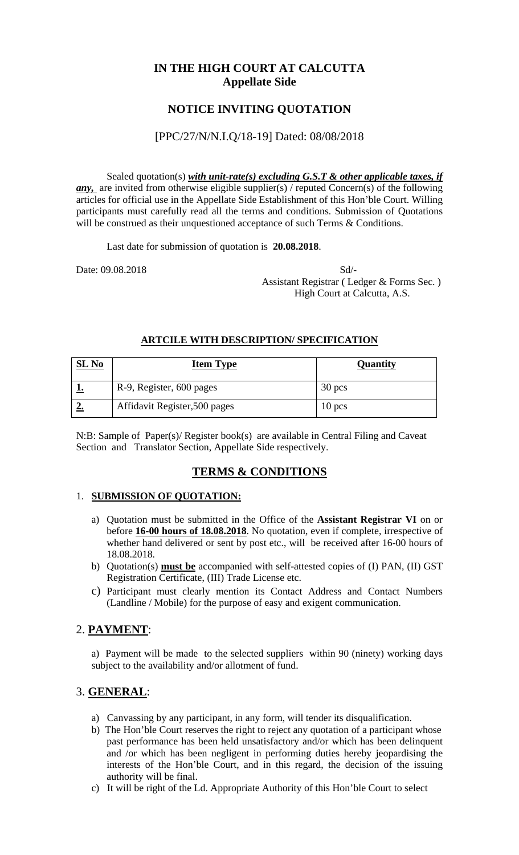## **IN THE HIGH COURT AT CALCUTTA Appellate Side**

# **NOTICE INVITING QUOTATION**

### [PPC/27/N/N.I.Q/18-19] Dated: 08/08/2018

Sealed quotation(s) *with unit-rate(s) excluding G.S.T & other applicable taxes, if any*, are invited from otherwise eligible supplier(s) / reputed Concern(s) of the following articles for official use in the Appellate Side Establishment of this Hon'ble Court. Willing participants must carefully read all the terms and conditions. Submission of Quotations will be construed as their unquestioned acceptance of such Terms & Conditions.

Last date for submission of quotation is **20.08.2018**.

Date: 09.08.2018 Sd/- Assistant Registrar ( Ledger & Forms Sec. ) High Court at Calcutta, A.S.

### **ARTCILE WITH DESCRIPTION/ SPECIFICATION**

| $SL$ No | <b>Item Type</b>              | Quantity |
|---------|-------------------------------|----------|
|         | R-9, Register, 600 pages      | $30$ pcs |
|         | Affidavit Register, 500 pages | $10$ pcs |

N:B: Sample of Paper(s)/ Register book(s) are available in Central Filing and Caveat Section and Translator Section, Appellate Side respectively.

### **TERMS & CONDITIONS**

### 1. **SUBMISSION OF QUOTATION:**

- a) Quotation must be submitted in the Office of the **Assistant Registrar VI** on or before **16-00 hours of 18.08.2018**. No quotation, even if complete, irrespective of whether hand delivered or sent by post etc., will be received after 16-00 hours of 18.08.2018.
- b) Quotation(s) **must be** accompanied with self-attested copies of (I) PAN, (II) GST Registration Certificate, (III) Trade License etc.
- c) Participant must clearly mention its Contact Address and Contact Numbers (Landline / Mobile) for the purpose of easy and exigent communication.

### 2. **PAYMENT**:

a) Payment will be made to the selected suppliers within 90 (ninety) working days subject to the availability and/or allotment of fund.

### 3. **GENERAL**:

- a) Canvassing by any participant, in any form, will tender its disqualification.
- b) The Hon'ble Court reserves the right to reject any quotation of a participant whose past performance has been held unsatisfactory and/or which has been delinquent and /or which has been negligent in performing duties hereby jeopardising the interests of the Hon'ble Court, and in this regard, the decision of the issuing authority will be final.
- c) It will be right of the Ld. Appropriate Authority of this Hon'ble Court to select